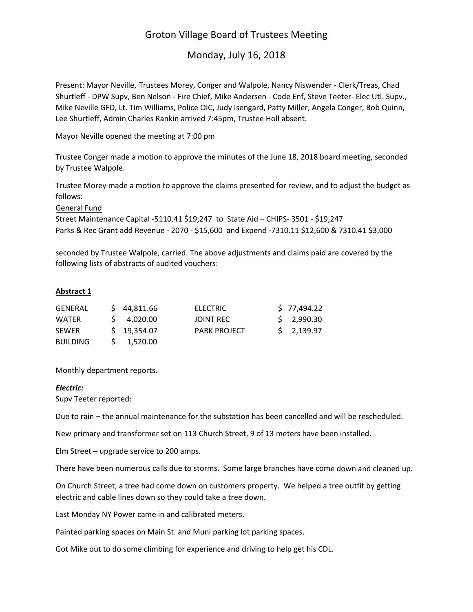# Groton Village Board of Trustees Meeting

Monday, July 16, 2018

Present: Mayor Neville, Trustees Morey, Conger and Walpole, Nancy Niswender ‐ Clerk/Treas, Chad Shurtleff ‐ DPW Supv, Ben Nelson ‐ Fire Chief, Mike Andersen ‐ Code Enf, Steve Teeter‐ Elec Utl. Supv., Mike Neville GFD, Lt. Tim Williams, Police OIC, Judy Isengard, Patty Miller, Angela Conger, Bob Quinn, Lee Shurtleff, Admin Charles Rankin arrived 7:45pm, Trustee Holl absent.

Mayor Neville opened the meeting at 7:00 pm

Trustee Conger made a motion to approve the minutes of the June 18, 2018 board meeting, seconded by Trustee Walpole.

Trustee Morey made a motion to approve the claims presented for review, and to adjust the budget as follows:

General Fund

Street Maintenance Capital ‐5110.41 \$19,247 to State Aid – CHIPS‐ 3501 ‐ \$19,247 Parks & Rec Grant add Revenue - 2070 - \$15,600 and Expend -7310.11 \$12,600 & 7310.41 \$3,000

seconded by Trustee Walpole, carried. The above adjustments and claims paid are covered by the following lists of abstracts of audited vouchers:

# **Abstract 1**

| GENERAL         | \$44.811.66       | <b>ELECTRIC</b>     | \$77,494.22              |
|-----------------|-------------------|---------------------|--------------------------|
| <b>WATFR</b>    | $5\quad 4,020.00$ | JOINT REC           | \$2,990.30               |
| <b>SEWER</b>    | $5$ 19.354.07     | <b>PARK PROJECT</b> | $\frac{1}{2}$ , 2,139.97 |
| <b>BUILDING</b> | 1.520.00          |                     |                          |

Monthly department reports.

#### *Electric:*

Supv Teeter reported:

Due to rain – the annual maintenance for the substation has been cancelled and will be rescheduled.

New primary and transformer set on 113 Church Street, 9 of 13 meters have been installed.

Elm Street – upgrade service to 200 amps.

There have been numerous calls due to storms. Some large branches have come down and cleaned up.

On Church Street, a tree had come down on customers property. We helped a tree outfit by getting electric and cable lines down so they could take a tree down.

Last Monday NY Power came in and calibrated meters.

Painted parking spaces on Main St. and Muni parking lot parking spaces.

Got Mike out to do some climbing for experience and driving to help get his CDL.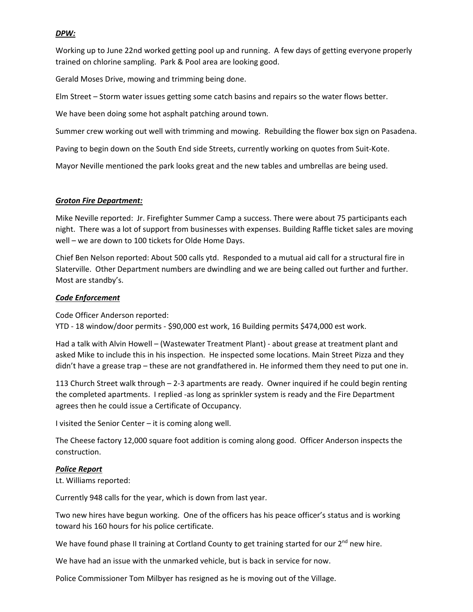## *DPW:*

Working up to June 22nd worked getting pool up and running. A few days of getting everyone properly trained on chlorine sampling. Park & Pool area are looking good.

Gerald Moses Drive, mowing and trimming being done.

Elm Street – Storm water issues getting some catch basins and repairs so the water flows better.

We have been doing some hot asphalt patching around town.

Summer crew working out well with trimming and mowing. Rebuilding the flower box sign on Pasadena.

Paving to begin down on the South End side Streets, currently working on quotes from Suit‐Kote.

Mayor Neville mentioned the park looks great and the new tables and umbrellas are being used.

## *Groton Fire Department:*

Mike Neville reported: Jr. Firefighter Summer Camp a success. There were about 75 participants each night. There was a lot of support from businesses with expenses. Building Raffle ticket sales are moving well – we are down to 100 tickets for Olde Home Days.

Chief Ben Nelson reported: About 500 calls ytd. Responded to a mutual aid call for a structural fire in Slaterville. Other Department numbers are dwindling and we are being called out further and further. Most are standby's.

# *Code Enforcement*

Code Officer Anderson reported:

YTD ‐ 18 window/door permits ‐ \$90,000 est work, 16 Building permits \$474,000 est work.

Had a talk with Alvin Howell – (Wastewater Treatment Plant) ‐ about grease at treatment plant and asked Mike to include this in his inspection. He inspected some locations. Main Street Pizza and they didn't have a grease trap – these are not grandfathered in. He informed them they need to put one in.

113 Church Street walk through – 2‐3 apartments are ready. Owner inquired if he could begin renting the completed apartments. I replied ‐as long as sprinkler system is ready and the Fire Department agrees then he could issue a Certificate of Occupancy.

I visited the Senior Center – it is coming along well.

The Cheese factory 12,000 square foot addition is coming along good. Officer Anderson inspects the construction.

## *Police Report*

Lt. Williams reported:

Currently 948 calls for the year, which is down from last year.

Two new hires have begun working. One of the officers has his peace officer's status and is working toward his 160 hours for his police certificate.

We have found phase II training at Cortland County to get training started for our 2<sup>nd</sup> new hire.

We have had an issue with the unmarked vehicle, but is back in service for now.

Police Commissioner Tom Milbyer has resigned as he is moving out of the Village.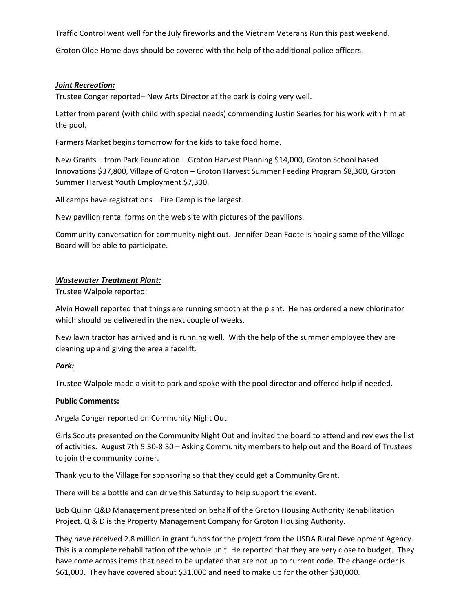Traffic Control went well for the July fireworks and the Vietnam Veterans Run this past weekend.

Groton Olde Home days should be covered with the help of the additional police officers.

#### *Joint Recreation:*

Trustee Conger reported– New Arts Director at the park is doing very well.

Letter from parent (with child with special needs) commending Justin Searles for his work with him at the pool.

Farmers Market begins tomorrow for the kids to take food home.

New Grants – from Park Foundation – Groton Harvest Planning \$14,000, Groton School based Innovations \$37,800, Village of Groton – Groton Harvest Summer Feeding Program \$8,300, Groton Summer Harvest Youth Employment \$7,300.

All camps have registrations – Fire Camp is the largest.

New pavilion rental forms on the web site with pictures of the pavilions.

Community conversation for community night out. Jennifer Dean Foote is hoping some of the Village Board will be able to participate.

#### *Wastewater Treatment Plant:*

Trustee Walpole reported:

Alvin Howell reported that things are running smooth at the plant. He has ordered a new chlorinator which should be delivered in the next couple of weeks.

New lawn tractor has arrived and is running well. With the help of the summer employee they are cleaning up and giving the area a facelift.

#### *Park:*

Trustee Walpole made a visit to park and spoke with the pool director and offered help if needed.

#### **Public Comments:**

Angela Conger reported on Community Night Out:

Girls Scouts presented on the Community Night Out and invited the board to attend and reviews the list of activities. August 7th 5:30‐8:30 – Asking Community members to help out and the Board of Trustees to join the community corner.

Thank you to the Village for sponsoring so that they could get a Community Grant.

There will be a bottle and can drive this Saturday to help support the event.

Bob Quinn Q&D Management presented on behalf of the Groton Housing Authority Rehabilitation Project. Q & D is the Property Management Company for Groton Housing Authority.

They have received 2.8 million in grant funds for the project from the USDA Rural Development Agency. This is a complete rehabilitation of the whole unit. He reported that they are very close to budget. They have come across items that need to be updated that are not up to current code. The change order is \$61,000. They have covered about \$31,000 and need to make up for the other \$30,000.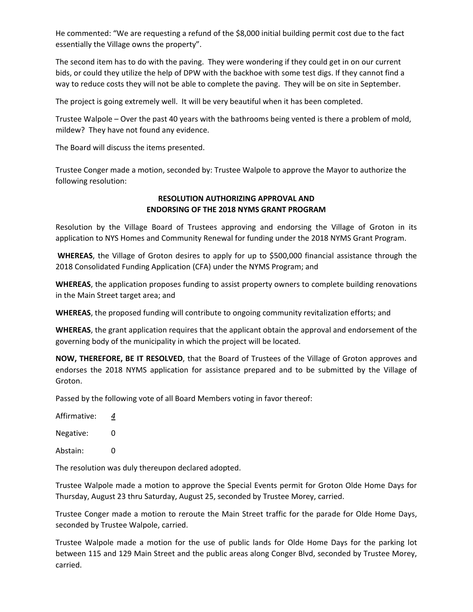He commented: "We are requesting a refund of the \$8,000 initial building permit cost due to the fact essentially the Village owns the property".

The second item has to do with the paving. They were wondering if they could get in on our current bids, or could they utilize the help of DPW with the backhoe with some test digs. If they cannot find a way to reduce costs they will not be able to complete the paving. They will be on site in September.

The project is going extremely well. It will be very beautiful when it has been completed.

Trustee Walpole – Over the past 40 years with the bathrooms being vented is there a problem of mold, mildew? They have not found any evidence.

The Board will discuss the items presented.

Trustee Conger made a motion, seconded by: Trustee Walpole to approve the Mayor to authorize the following resolution:

# **RESOLUTION AUTHORIZING APPROVAL AND ENDORSING OF THE 2018 NYMS GRANT PROGRAM**

Resolution by the Village Board of Trustees approving and endorsing the Village of Groton in its application to NYS Homes and Community Renewal for funding under the 2018 NYMS Grant Program.

**WHEREAS**, the Village of Groton desires to apply for up to \$500,000 financial assistance through the 2018 Consolidated Funding Application (CFA) under the NYMS Program; and

**WHEREAS**, the application proposes funding to assist property owners to complete building renovations in the Main Street target area; and

**WHEREAS**, the proposed funding will contribute to ongoing community revitalization efforts; and

**WHEREAS**, the grant application requires that the applicant obtain the approval and endorsement of the governing body of the municipality in which the project will be located.

**NOW, THEREFORE, BE IT RESOLVED**, that the Board of Trustees of the Village of Groton approves and endorses the 2018 NYMS application for assistance prepared and to be submitted by the Village of Groton.

Passed by the following vote of all Board Members voting in favor thereof:

Affirmative: *4*

Negative: 0

Abstain: 0

The resolution was duly thereupon declared adopted.

Trustee Walpole made a motion to approve the Special Events permit for Groton Olde Home Days for Thursday, August 23 thru Saturday, August 25, seconded by Trustee Morey, carried.

Trustee Conger made a motion to reroute the Main Street traffic for the parade for Olde Home Days, seconded by Trustee Walpole, carried.

Trustee Walpole made a motion for the use of public lands for Olde Home Days for the parking lot between 115 and 129 Main Street and the public areas along Conger Blvd, seconded by Trustee Morey, carried.